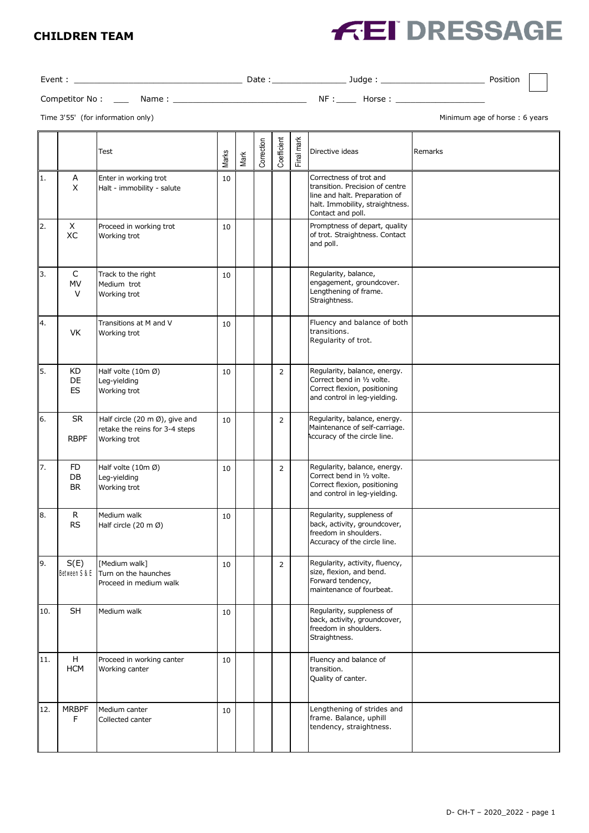#### **CHILDREN TEAM**

# **FEI DRESSAGE**

Event : \_\_\_\_\_\_\_\_\_\_\_\_\_\_\_\_\_\_\_\_\_\_\_\_\_\_\_\_\_\_\_\_\_\_ Date :\_\_\_\_\_\_\_\_\_\_\_\_\_\_\_ Judge : \_\_\_\_\_\_\_\_\_\_\_\_\_\_\_\_\_\_\_\_\_ Position

| Competitor No | ה עי | NF | ∽ |  |
|---------------|------|----|---|--|
|               |      |    |   |  |

Time 3'55' (for information only) and the state of the state of the state of thorse of horse of horse : 6 years

|     |                              | Test                                                                                        | Marks | Mark | Correction | Coefficient | Final mark | Directive ideas                                                                                                                                     | Remarks |
|-----|------------------------------|---------------------------------------------------------------------------------------------|-------|------|------------|-------------|------------|-----------------------------------------------------------------------------------------------------------------------------------------------------|---------|
| 1.  | A<br>X                       | Enter in working trot<br>Halt - immobility - salute                                         | 10    |      |            |             |            | Correctness of trot and<br>transition. Precision of centre<br>line and halt. Preparation of<br>halt. Immobility, straightness.<br>Contact and poll. |         |
| 2.  | X<br>XC                      | Proceed in working trot<br>Working trot                                                     | 10    |      |            |             |            | Promptness of depart, quality<br>of trot. Straightness. Contact<br>and poll.                                                                        |         |
| 3.  | C<br><b>MV</b><br>$\vee$     | Track to the right<br>Medium trot<br>Working trot                                           | 10    |      |            |             |            | Regularity, balance,<br>engagement, groundcover.<br>Lengthening of frame.<br>Straightness.                                                          |         |
| 4.  | VK                           | Transitions at M and V<br>Working trot                                                      | 10    |      |            |             |            | Fluency and balance of both<br>transitions.<br>Regularity of trot.                                                                                  |         |
| 5.  | KD<br>DE<br><b>ES</b>        | Half volte (10m Ø)<br>Leg-yielding<br>Working trot                                          | 10    |      |            | 2           |            | Regularity, balance, energy.<br>Correct bend in 1/2 volte.<br>Correct flexion, positioning<br>and control in leg-yielding.                          |         |
| 6.  | <b>SR</b><br><b>RBPF</b>     | Half circle (20 m $\emptyset$ ), give and<br>retake the reins for 3-4 steps<br>Working trot | 10    |      |            | 2           |            | Regularity, balance, energy.<br>Maintenance of self-carriage.<br>Accuracy of the circle line.                                                       |         |
| 7.  | <b>FD</b><br>DB<br><b>BR</b> | Half volte (10m Ø)<br>Leg-yielding<br>Working trot                                          | 10    |      |            | 2           |            | Regularity, balance, energy.<br>Correct bend in 1/2 volte.<br>Correct flexion, positioning<br>and control in leg-yielding.                          |         |
| 8.  | R<br><b>RS</b>               | Medium walk<br>Half circle (20 m Ø)                                                         | 10    |      |            |             |            | Regularity, suppleness of<br>back, activity, groundcover,<br>freedom in shoulders.<br>Accuracy of the circle line.                                  |         |
| 9.  | S(E)                         | [Medium walk]<br>Between S & E Turn on the haunches<br>Proceed in medium walk               | 10    |      |            | 2           |            | Regularity, activity, fluency,<br>size, flexion, and bend.<br>Forward tendency,<br>maintenance of fourbeat.                                         |         |
| 10. | SH                           | Medium walk                                                                                 | 10    |      |            |             |            | Regularity, suppleness of<br>back, activity, groundcover,<br>freedom in shoulders.<br>Straightness.                                                 |         |
| 11. | H<br><b>HCM</b>              | Proceed in working canter<br>Working canter                                                 | 10    |      |            |             |            | Fluency and balance of<br>transition.<br>Quality of canter.                                                                                         |         |
| 12. | <b>MRBPF</b><br>F            | Medium canter<br>Collected canter                                                           | 10    |      |            |             |            | Lengthening of strides and<br>frame. Balance, uphill<br>tendency, straightness.                                                                     |         |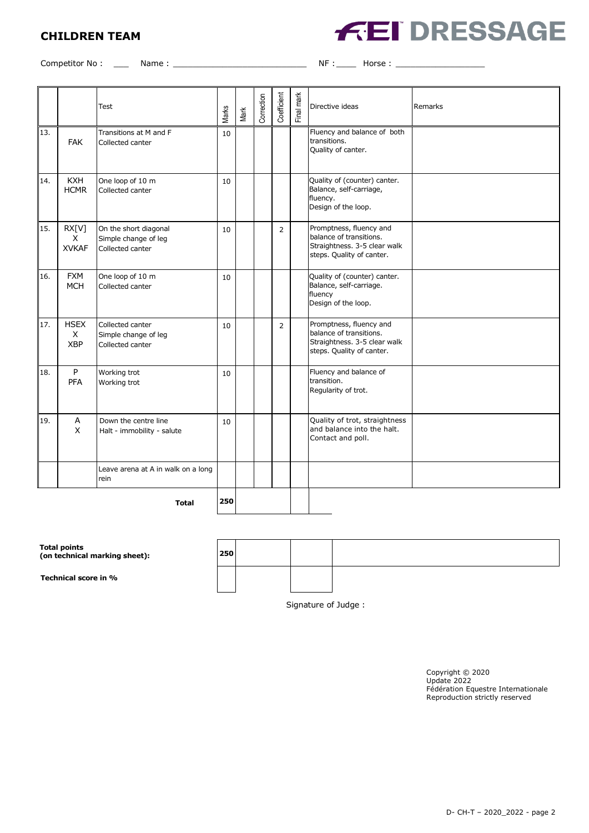## **CHILDREN TEAM**



Competitor No : \_\_\_ Name : \_\_\_\_\_\_\_\_\_\_\_\_\_\_\_\_\_\_\_\_\_\_\_\_\_\_\_ NF :\_\_\_\_ Horse : \_\_\_\_\_\_\_\_\_\_\_\_\_\_\_\_\_\_

|                     |                                       | Test                                                              | Marks | Mark | Correction | Coefficient    | Final mark | Directive ideas                                                                                                 | Remarks |
|---------------------|---------------------------------------|-------------------------------------------------------------------|-------|------|------------|----------------|------------|-----------------------------------------------------------------------------------------------------------------|---------|
| 13.                 | <b>FAK</b>                            | Transitions at M and F<br>Collected canter                        | 10    |      |            |                |            | Fluency and balance of both<br>transitions.<br>Quality of canter.                                               |         |
| 14.                 | <b>KXH</b><br><b>HCMR</b>             | One loop of 10 m<br>Collected canter                              | 10    |      |            |                |            | Quality of (counter) canter.<br>Balance, self-carriage,<br>fluency.<br>Design of the loop.                      |         |
| 15.                 | RX[V]<br>$\times$<br><b>XVKAF</b>     | On the short diagonal<br>Simple change of leg<br>Collected canter | 10    |      |            | 2              |            | Promptness, fluency and<br>balance of transitions.<br>Straightness. 3-5 clear walk<br>steps. Quality of canter. |         |
| 16.                 | <b>FXM</b><br><b>MCH</b>              | One loop of 10 m<br>Collected canter                              | 10    |      |            |                |            | Quality of (counter) canter.<br>Balance, self-carriage.<br>fluency<br>Design of the loop.                       |         |
| 17.                 | <b>HSEX</b><br>$\times$<br><b>XBP</b> | Collected canter<br>Simple change of leg<br>Collected canter      | 10    |      |            | $\overline{2}$ |            | Promptness, fluency and<br>balance of transitions.<br>Straightness. 3-5 clear walk<br>steps. Quality of canter. |         |
| 18.                 | P<br>PFA                              | Working trot<br>Working trot                                      | 10    |      |            |                |            | Fluency and balance of<br>transition.<br>Regularity of trot.                                                    |         |
| 19.                 | A<br>$\mathsf{X}$                     | Down the centre line<br>Halt - immobility - salute                | 10    |      |            |                |            | Quality of trot, straightness<br>and balance into the halt.<br>Contact and poll.                                |         |
|                     |                                       | Leave arena at A in walk on a long<br>rein                        |       |      |            |                |            |                                                                                                                 |         |
| 250<br><b>Total</b> |                                       |                                                                   |       |      |            |                |            |                                                                                                                 |         |

| Total points<br>(on technical marking sheet): | 250 |  |  |
|-----------------------------------------------|-----|--|--|
| Technical score in %                          |     |  |  |

Signature of Judge :

Copyright © 2020 Update 2022 Fédération Equestre Internationale Reproduction strictly reserved